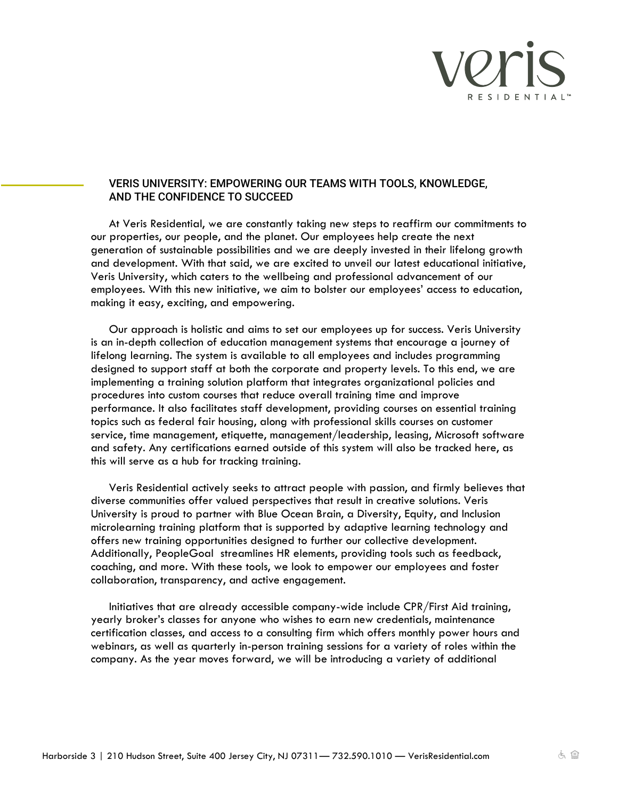

## VERIS UNIVERSITY: EMPOWERING OUR TEAMS WITH TOOLS, KNOWLEDGE, AND THE CONFIDENCE TO SUCCEED

At Veris Residential, we are constantly taking new steps to reaffirm our commitments to our properties, our people, and the planet. Our employees help create the next generation of sustainable possibilities and we are deeply invested in their lifelong growth and development. With that said, we are excited to unveil our latest educational initiative, Veris University, which caters to the wellbeing and professional advancement of our employees. With this new initiative, we aim to bolster our employees' access to education, making it easy, exciting, and empowering.

Our approach is holistic and aims to set our employees up for success. Veris University is an in-depth collection of education management systems that encourage a journey of lifelong learning. The system is available to all employees and includes programming designed to support staff at both the corporate and property levels. To this end, we are implementing a training solution platform that integrates organizational policies and procedures into custom courses that reduce overall training time and improve performance. It also facilitates staff development, providing courses on essential training topics such as federal fair housing, along with professional skills courses on customer service, time management, etiquette, management/leadership, leasing, Microsoft software and safety. Any certifications earned outside of this system will also be tracked here, as this will serve as a hub for tracking training.

Veris Residential actively seeks to attract people with passion, and firmly believes that diverse communities offer valued perspectives that result in creative solutions. Veris University is proud to partner with Blue Ocean Brain, a Diversity, Equity, and Inclusion microlearning training platform that is supported by adaptive learning technology and offers new training opportunities designed to further our collective development. Additionally, PeopleGoal streamlines HR elements, providing tools such as feedback, coaching, and more. With these tools, we look to empower our employees and foster collaboration, transparency, and active engagement.

Initiatives that are already accessible company-wide include CPR/First Aid training, yearly broker's classes for anyone who wishes to earn new credentials, maintenance certification classes, and access to a consulting firm which offers monthly power hours and webinars, as well as quarterly in-person training sessions for a variety of roles within the company. As the year moves forward, we will be introducing a variety of additional